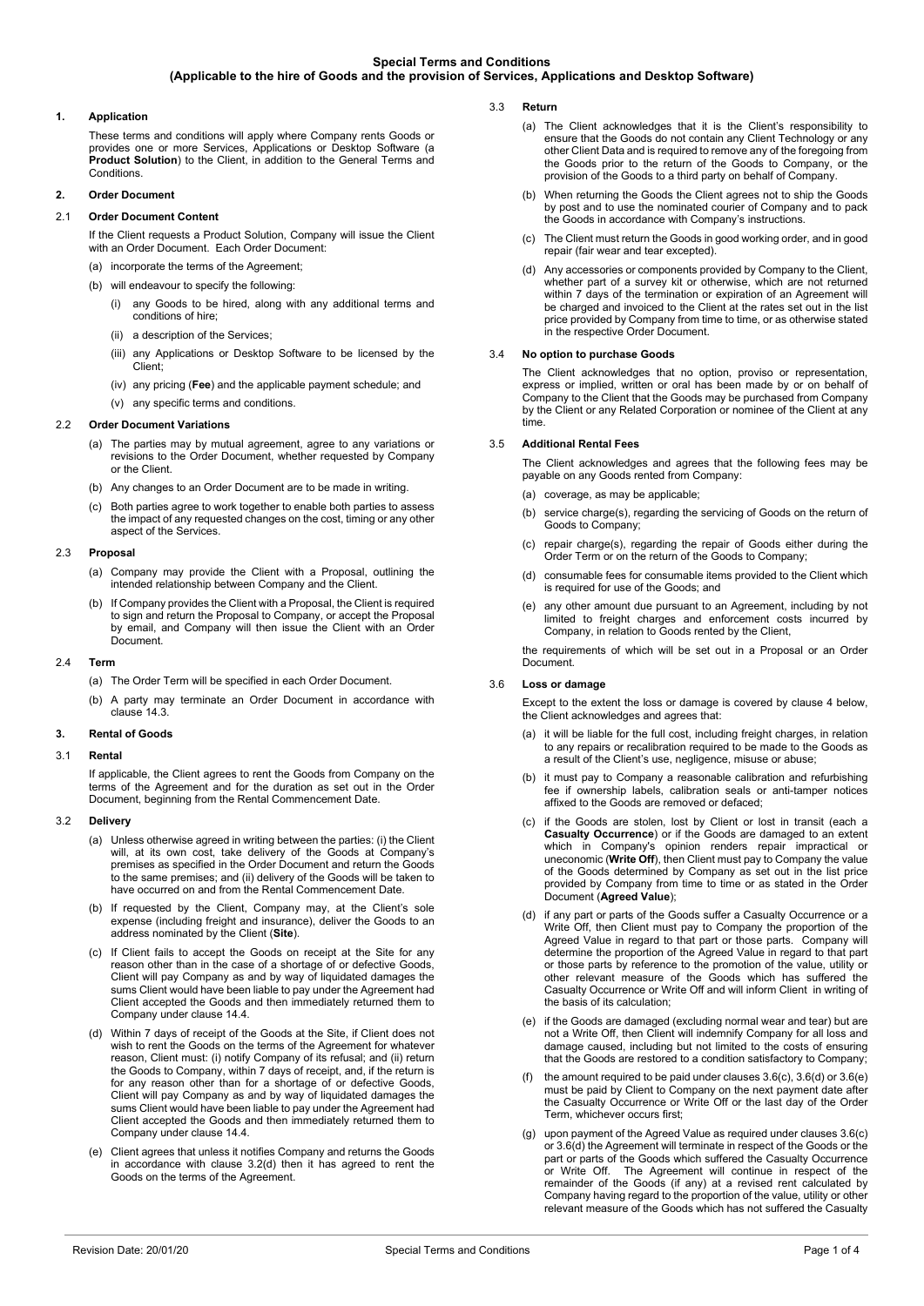# **1. Application**

These terms and conditions will apply where Company rents Goods or provides one or more Services, Applications or Desktop Software (a **Product Solution**) to the Client, in addition to the General Terms and Conditions.

# **2. Order Document**

# 2.1 **Order Document Content**

If the Client requests a Product Solution, Company will issue the Client with an Order Document. Each Order Document: (a) incorporate the terms of the Agreement;

- (b) will endeavour to specify the following:
	- (i) any Goods to be hired, along with any additional terms and conditions of hire;
	- (ii) a description of the Services:
	- (iii) any Applications or Desktop Software to be licensed by the Client;
	- (iv) any pricing (**Fee**) and the applicable payment schedule; and
	- (v) any specific terms and conditions.

### 2.2 **Order Document Variations**

- (a) The parties may by mutual agreement, agree to any variations or revisions to the Order Document, whether requested by Company or the Client.
- (b) Any changes to an Order Document are to be made in writing.
- (c) Both parties agree to work together to enable both parties to assess the impact of any requested changes on the cost, timing or any other aspect of the Services.

# 2.3 **Proposal**

- (a) Company may provide the Client with a Proposal, outlining the intended relationship between Company and the Client.
- If Company provides the Client with a Proposal, the Client is required to sign and return the Proposal to Company, or accept the Proposal by email, and Company will then issue the Client with an Order Document.

# 2.4 **Term**

- (a) The Order Term will be specified in each Order Document.
- (b) A party may terminate an Order Document in accordance with clause [14.3.](#page-2-0)

### **3. Rental of Goods**

### 3.1 **Rental**

If applicable, the Client agrees to rent the Goods from Company on the terms of the Agreement and for the duration as set out in the Order Document, beginning from the Rental Commencement Date.

# 3.2 **Delivery**

- (a) Unless otherwise agreed in writing between the parties: (i) the Client will, at its own cost, take delivery of the Goods at Company's premises as specified in the Order Document and return the Goods to the same premises; and (ii) delivery of the Goods will be taken to have occurred on and from the Rental Commencement Date.
- (b) If requested by the Client, Company may, at the Client's sole expense (including freight and insurance), deliver the Goods to an address nominated by the Client (**Site**).
- (c) If Client fails to accept the Goods on receipt at the Site for any reason other than in the case of a shortage of or defective Goods, Client will pay Company as and by way of liquidated damages the sums Client would have been liable to pay under the Agreement had Client accepted the Goods and then immediately returned them to Company under clause [14.4.](#page-2-1)
- <span id="page-0-0"></span>(d) Within 7 days of receipt of the Goods at the Site, if Client does not wish to rent the Goods on the terms of the Agreement for whatever reason, Client must: (i) notify Company of its refusal; and (ii) return the Goods to Company, within 7 days of receipt, and, if the return is for any reason other than for a shortage of or defective Goods, Client will pay Company as and by way of liquidated damages the sums Client would have been liable to pay under the Agreement had Client accepted the Goods and then immediately returned them to Company under claus[e 14.4.](#page-2-1)
- (e) Client agrees that unless it notifies Company and returns the Goods in accordance with clause [3.2\(d\)](#page-0-0) then it has agreed to rent the Goods on the terms of the Agreement.
- 3.3 **Return** 
	- (a) The Client acknowledges that it is the Client's responsibility to ensure that the Goods do not contain any Client Technology or any other Client Data and is required to remove any of the foregoing from the Goods prior to the return of the Goods to Company, or the provision of the Goods to a third party on behalf of Company.
	- (b) When returning the Goods the Client agrees not to ship the Goods by post and to use the nominated courier of Company and to pack the Goods in accordance with Company's instructions.
	- (c) The Client must return the Goods in good working order, and in good repair (fair wear and tear excepted).
	- (d) Any accessories or components provided by Company to the Client, whether part of a survey kit or otherwise, which are not returned within 7 days of the termination or expiration of an Agreement will be charged and invoiced to the Client at the rates set out in the list price provided by Company from time to time, or as otherwise stated in the respective Order Document.

# <span id="page-0-5"></span>3.4 **No option to purchase Goods**

The Client acknowledges that no option, proviso or representation, express or implied, written or oral has been made by or on behalf of Company to the Client that the Goods may be purchased from Company by the Client or any Related Corporation or nominee of the Client at any time.

# 3.5 **Additional Rental Fees**

The Client acknowledges and agrees that the following fees may be payable on any Goods rented from Company:

- $(a)$  coverage, as may be applicable;
- (b) service charge(s), regarding the servicing of Goods on the return of Goods to Company;
- (c) repair charge(s), regarding the repair of Goods either during the Order Term or on the return of the Goods to Company;
- (d) consumable fees for consumable items provided to the Client which is required for use of the Goods; and
- (e) any other amount due pursuant to an Agreement, including by not limited to freight charges and enforcement costs incurred by Company, in relation to Goods rented by the Client,

the requirements of which will be set out in a Proposal or an Order **Document** 

# 3.6 **Loss or damage**

Except to the extent the loss or damage is covered by clause 4 below, the Client acknowledges and agrees that:

- (a) it will be liable for the full cost, including freight charges, in relation to any repairs or recalibration required to be made to the Goods as a result of the Client's use, negligence, misuse or abuse;
- (b) it must pay to Company a reasonable calibration and refurbishing fee if ownership labels, calibration seals or anti-tamper notices affixed to the Goods are removed or defaced;
- <span id="page-0-1"></span>(c) if the Goods are stolen, lost by Client or lost in transit (each a **Casualty Occurrence**) or if the Goods are damaged to an extent which in Company's opinion renders repair impractical or uneconomic (**Write Off**), then Client must pay to Company the value of the Goods determined by Company as set out in the list price provided by Company from time to time or as stated in the Order Document (**Agreed Value**);
- <span id="page-0-2"></span>(d) if any part or parts of the Goods suffer a Casualty Occurrence or a Write Off, then Client must pay to Company the proportion of the Agreed Value in regard to that part or those parts. Company will determine the proportion of the Agreed Value in regard to that part or those parts by reference to the promotion of the value, utility or other relevant measure of the Goods which has suffered the Casualty Occurrence or Write Off and will inform Client in writing of the basis of its calculation;
- <span id="page-0-3"></span>(e) if the Goods are damaged (excluding normal wear and tear) but are not a Write Off, then Client will indemnify Company for all loss and damage caused, including but not limited to the costs of ensuring that the Goods are restored to a condition satisfactory to Company;
- (f) the amount required to be paid under clause[s 3.6\(c\),](#page-0-1) [3.6\(d\)](#page-0-2) o[r 3.6\(e\)](#page-0-3) must be paid by Client to Company on the next payment date after the Casualty Occurrence or Write Off or the last day of the Order Term, whichever occurs first;
- <span id="page-0-4"></span>(g) upon payment of the Agreed Value as required under clause[s 3.6\(c\)](#page-0-1) o[r 3.6\(d\)](#page-0-2) the Agreement will terminate in respect of the Goods or the part or parts of the Goods which suffered the Casualty Occurrence or Write Off. The Agreement will continue in respect of the remainder of the Goods (if any) at a revised rent calculated by Company having regard to the proportion of the value, utility or other relevant measure of the Goods which has not suffered the Casualty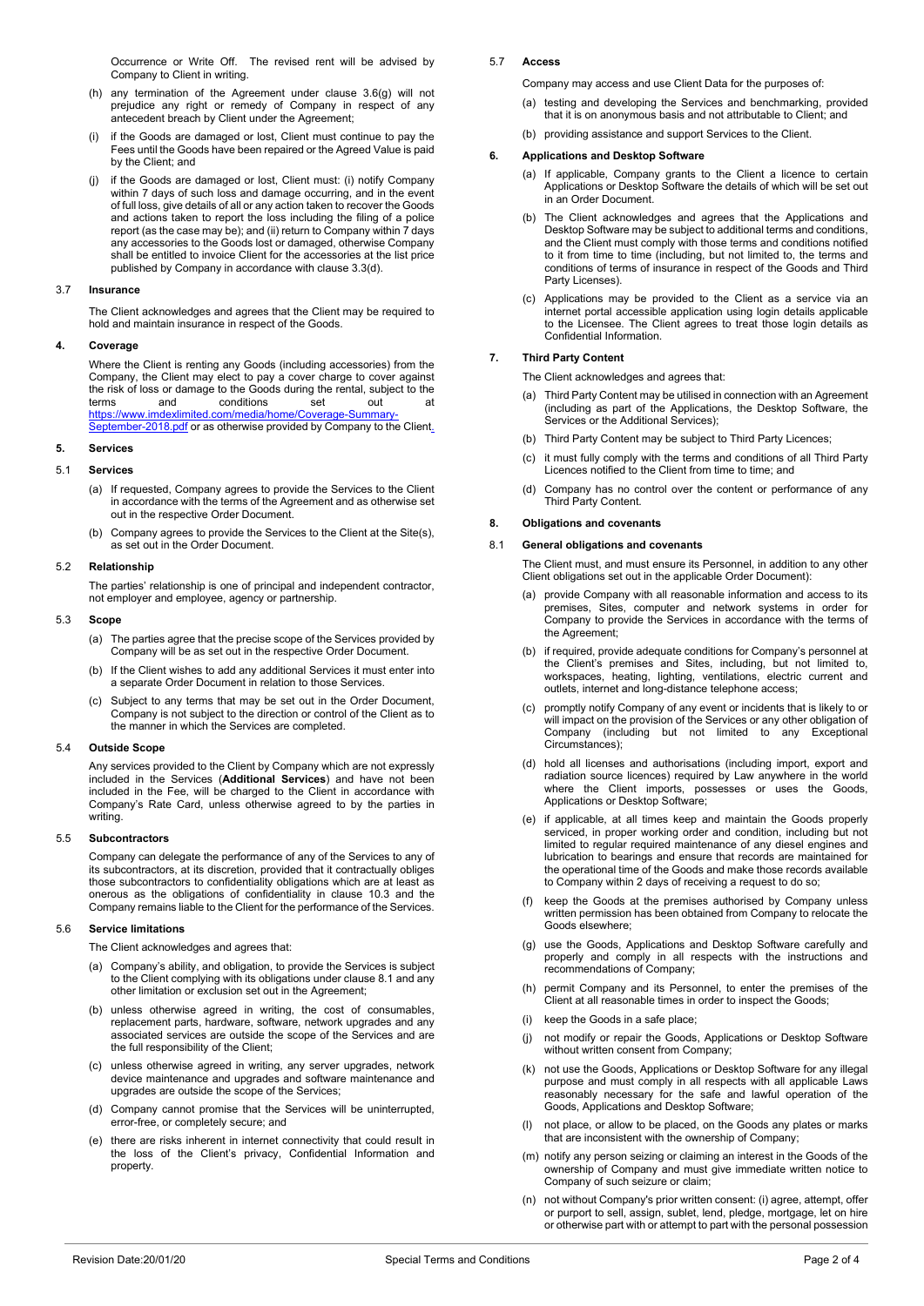Occurrence or Write Off. The revised rent will be advised by Company to Client in writing.

- (h) any termination of the Agreement under clause [3.6\(g\)](#page-0-4) will not prejudice any right or remedy of Company in respect of any antecedent breach by Client under the Agreement;
- (i) if the Goods are damaged or lost, Client must continue to pay the Fees until the Goods have been repaired or the Agreed Value is paid by the Client; and
- <span id="page-1-3"></span>(j) if the Goods are damaged or lost, Client must: (i) notify Company within 7 days of such loss and damage occurring, and in the event of full loss, give details of all or any action taken to recover the Goods and actions taken to report the loss including the filing of a police report (as the case may be); and (ii) return to Company within 7 days any accessories to the Goods lost or damaged, otherwise Company shall be entitled to invoice Client for the accessories at the list price published by Company in accordance with claus[e 3.3\(d\).](#page-0-5)

### 3.7 **Insurance**

The Client acknowledges and agrees that the Client may be required to hold and maintain insurance in respect of the Goods.

# **4. Coverage**

Where the Client is renting any Goods (including accessories) from the Company, the Client may elect to pay a cover charge to cover against the risk of loss or damage to the Goods during the rental, subject to the terms and conditions set out at [https://www.imdexlimited.com/media/home/Coverage-Summary-](https://www.imdexlimited.com/media/home/Coverage-Summary-September-2018.pdf)[September-2018.pdf](https://www.imdexlimited.com/media/home/Coverage-Summary-September-2018.pdf) or as otherwise provided by Company to the Client.

**5. Services**

# 5.1 **Services**

- (a) If requested, Company agrees to provide the Services to the Client in accordance with the terms of the Agreement and as otherwise set out in the respective Order Document.
- (b) Company agrees to provide the Services to the Client at the Site(s), as set out in the Order Document.

#### 5.2 **Relationship**

The parties' relationship is one of principal and independent contractor, not employer and employee, agency or partnership.

#### 5.3 **Scope**

- (a) The parties agree that the precise scope of the Services provided by Company will be as set out in the respective Order Document.
- (b) If the Client wishes to add any additional Services it must enter into a separate Order Document in relation to those Services.
- (c) Subject to any terms that may be set out in the Order Document, Company is not subject to the direction or control of the Client as to the manner in which the Services are completed.

#### 5.4 **Outside Scope**

Any services provided to the Client by Company which are not expressly included in the Services (**Additional Services**) and have not been included in the Fee, will be charged to the Client in accordance with Company's Rate Card, unless otherwise agreed to by the parties in writing.

#### 5.5 **Subcontractors**

Company can delegate the performance of any of the Services to any of its subcontractors, at its discretion, provided that it contractually obliges those subcontractors to confidentiality obligations which are at least as onerous as the obligations of confidentiality in clause [10.3](#page-2-2) and the Company remains liable to the Client for the performance of the Services.

### 5.6 **Service limitations**

The Client acknowledges and agrees that:

- (a) Company's ability, and obligation, to provide the Services is subject to the Client complying with its obligations under claus[e 8.1](#page-1-0) and any other limitation or exclusion set out in the Agreement;
- (b) unless otherwise agreed in writing, the cost of consumables, replacement parts, hardware, software, network upgrades and any associated services are outside the scope of the Services and are the full responsibility of the Client;
- (c) unless otherwise agreed in writing, any server upgrades, network device maintenance and upgrades and software maintenance and upgrades are outside the scope of the Services;
- (d) Company cannot promise that the Services will be uninterrupted, error-free, or completely secure; and
- (e) there are risks inherent in internet connectivity that could result in the loss of the Client's privacy, Confidential Information and property.

# 5.7 **Access**

Company may access and use Client Data for the purposes of:

- (a) testing and developing the Services and benchmarking, provided that it is on anonymous basis and not attributable to Client; and
- (b) providing assistance and support Services to the Client.

#### **6. Applications and Desktop Software**

- (a) If applicable, Company grants to the Client a licence to certain Applications or Desktop Software the details of which will be set out in an Order Document.
- (b) The Client acknowledges and agrees that the Applications and Desktop Software may be subject to additional terms and conditions, and the Client must comply with those terms and conditions notified to it from time to time (including, but not limited to, the terms and conditions of terms of insurance in respect of the Goods and Third Party Licenses).
- (c) Applications may be provided to the Client as a service via an internet portal accessible application using login details applicable to the Licensee. The Client agrees to treat those login details as Confidential Information.

# **7. Third Party Content**

- The Client acknowledges and agrees that:
- (a) Third Party Content may be utilised in connection with an Agreement (including as part of the Applications, the Desktop Software, the Services or the Additional Services);
- (b) Third Party Content may be subject to Third Party Licences;
- (c) it must fully comply with the terms and conditions of all Third Party Licences notified to the Client from time to time; and
- (d) Company has no control over the content or performance of any Third Party Content.

# **8. Obligations and covenants**

#### <span id="page-1-0"></span>8.1 **General obligations and covenants**

The Client must, and must ensure its Personnel, in addition to any other Client obligations set out in the applicable Order Document):

- (a) provide Company with all reasonable information and access to its premises, Sites, computer and network systems in order for Company to provide the Services in accordance with the terms of the Agreement;
- (b) if required, provide adequate conditions for Company's personnel at the Client's premises and Sites, including, but not limited to, workspaces, heating, lighting, ventilations, electric current and outlets, internet and long-distance telephone access;
- (c) promptly notify Company of any event or incidents that is likely to or will impact on the provision of the Services or any other obligation of Company (including but not limited to any Exceptional Circumstances);
- <span id="page-1-1"></span>(d) hold all licenses and authorisations (including import, export and radiation source licences) required by Law anywhere in the world where the Client imports, possesses or uses the Goods, Applications or Desktop Software;
- <span id="page-1-2"></span>(e) if applicable, at all times keep and maintain the Goods properly serviced, in proper working order and condition, including but not limited to regular required maintenance of any diesel engines and lubrication to bearings and ensure that records are maintained for the operational time of the Goods and make those records available to Company within 2 days of receiving a request to do so;
- (f) keep the Goods at the premises authorised by Company unless written permission has been obtained from Company to relocate the Goods elsewhere;
- (g) use the Goods, Applications and Desktop Software carefully and properly and comply in all respects with the instructions and recommendations of Company;
- (h) permit Company and its Personnel, to enter the premises of the Client at all reasonable times in order to inspect the Goods;
- (i) keep the Goods in a safe place;
- (j) not modify or repair the Goods, Applications or Desktop Software without written consent from Company;
- (k) not use the Goods, Applications or Desktop Software for any illegal purpose and must comply in all respects with all applicable Laws reasonably necessary for the safe and lawful operation of the Goods, Applications and Desktop Software;
- not place, or allow to be placed, on the Goods any plates or marks that are inconsistent with the ownership of Company;
- (m) notify any person seizing or claiming an interest in the Goods of the ownership of Company and must give immediate written notice to Company of such seizure or claim;
- (n) not without Company's prior written consent: (i) agree, attempt, offer or purport to sell, assign, sublet, lend, pledge, mortgage, let on hire or otherwise part with or attempt to part with the personal possession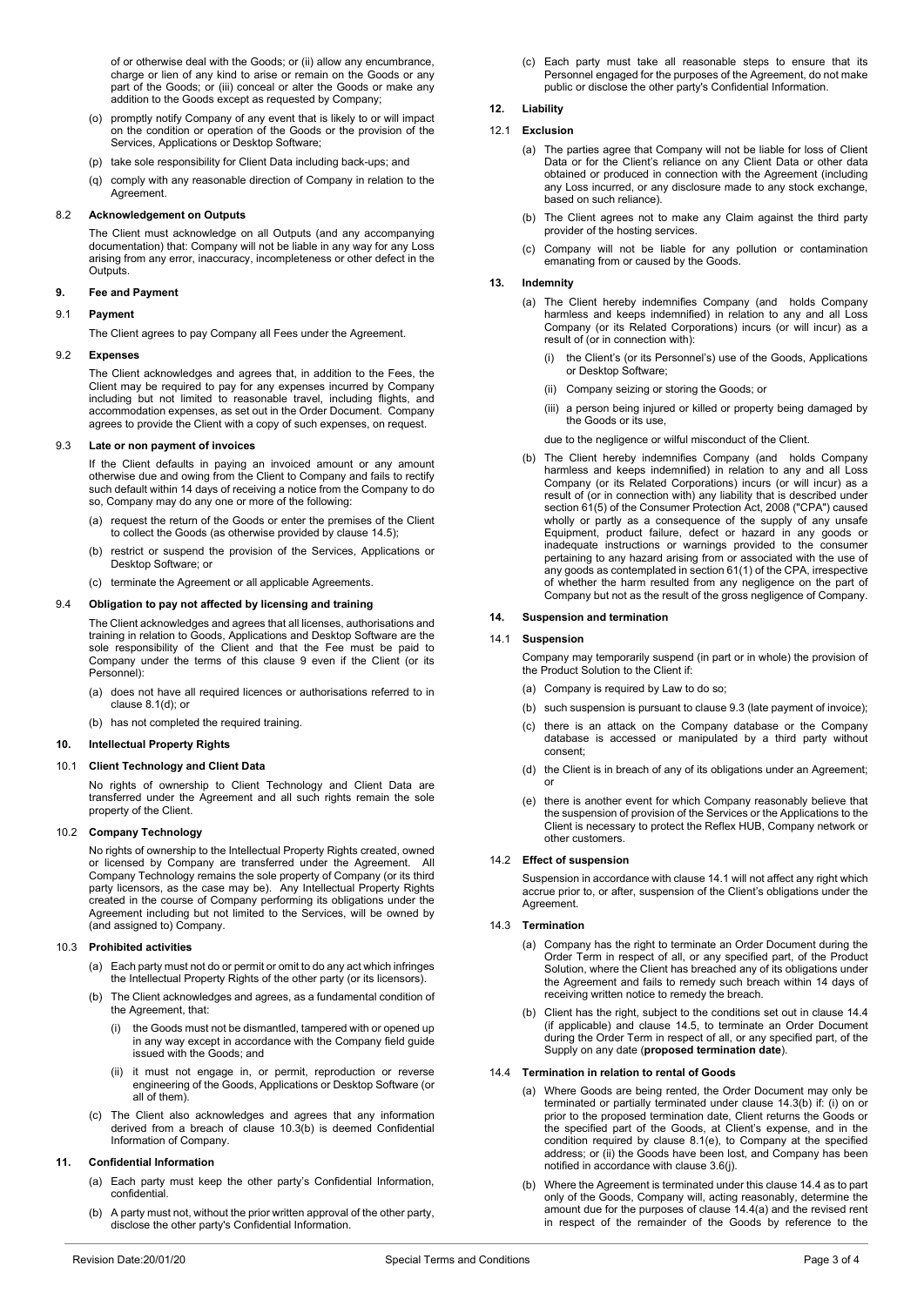of or otherwise deal with the Goods; or (ii) allow any encumbrance, charge or lien of any kind to arise or remain on the Goods or any part of the Goods; or (iii) conceal or alter the Goods or make any addition to the Goods except as requested by Company;

- (o) promptly notify Company of any event that is likely to or will impact on the condition or operation of the Goods or the provision of the Services, Applications or Desktop Software;
- (p) take sole responsibility for Client Data including back-ups; and
- (q) comply with any reasonable direction of Company in relation to the **Agreement**

# 8.2 **Acknowledgement on Outputs**

The Client must acknowledge on all Outputs (and any accompanying documentation) that: Company will not be liable in any way for any Loss arising from any error, inaccuracy, incompleteness or other defect in the Outputs

### <span id="page-2-3"></span>**9. Fee and Payment**

#### 9.1 **Payment**

The Client agrees to pay Company all Fees under the Agreement.

#### 9.2 **Expenses**

The Client acknowledges and agrees that, in addition to the Fees, the Client may be required to pay for any expenses incurred by Company including but not limited to reasonable travel, including flights, and accommodation expenses, as set out in the Order Document. Company agrees to provide the Client with a copy of such expenses, on request.

# <span id="page-2-5"></span>9.3 **Late or non payment of invoices**

If the Client defaults in paying an invoiced amount or any amount otherwise due and owing from the Client to Company and fails to rectify such default within 14 days of receiving a notice from the Company to do so, Company may do any one or more of the following:

- (a) request the return of the Goods or enter the premises of the Client to collect the Goods (as otherwise provided by claus[e 14.5\)](#page-3-0);
- (b) restrict or suspend the provision of the Services, Applications or Desktop Software; or
- (c) terminate the Agreement or all applicable Agreements.

# 9.4 **Obligation to pay not affected by licensing and training**

The Client acknowledges and agrees that all licenses, authorisations and training in relation to Goods, Applications and Desktop Software are the sole responsibility of the Client and that the Fee must be paid to Company under the terms of this clause [9](#page-2-3) even if the Client (or its Personnel):

- (a) does not have all required licences or authorisations referred to in claus[e 8.1\(d\);](#page-1-1) or
- (b) has not completed the required training.

# <span id="page-2-9"></span>**10. Intellectual Property Rights**

### 10.1 **Client Technology and Client Data**

No rights of ownership to Client Technology and Client Data are transferred under the Agreement and all such rights remain the sole property of the Client.

### 10.2 **Company Technology**

No rights of ownership to the Intellectual Property Rights created, owned or licensed by Company are transferred under the Agreement. All Company Technology remains the sole property of Company (or its third party licensors, as the case may be). Any Intellectual Property Rights created in the course of Company performing its obligations under the Agreement including but not limited to the Services, will be owned by (and assigned to) Company.

### <span id="page-2-2"></span>10.3 **Prohibited activities**

- (a) Each party must not do or permit or omit to do any act which infringes the Intellectual Property Rights of the other party (or its licensors).
- <span id="page-2-4"></span>(b) The Client acknowledges and agrees, as a fundamental condition of the Agreement, that:
	- (i) the Goods must not be dismantled, tampered with or opened up in any way except in accordance with the Company field guide issued with the Goods; and
	- (ii) it must not engage in, or permit, reproduction or reverse engineering of the Goods, Applications or Desktop Software (or all of them).
- (c) The Client also acknowledges and agrees that any information derived from a breach of clause [10.3\(b\)](#page-2-4) is deemed Confidential Information of Company.

# **11. Confidential Information**

- (a) Each party must keep the other party's Confidential Information, confidential.
- (b) A party must not, without the prior written approval of the other party, disclose the other party's Confidential Information.

(c) Each party must take all reasonable steps to ensure that its Personnel engaged for the purposes of the Agreement, do not make public or disclose the other party's Confidential Information.

# <span id="page-2-10"></span>**12. Liability**

# 12.1 **Exclusion**

- (a) The parties agree that Company will not be liable for loss of Client Data or for the Client's reliance on any Client Data or other data obtained or produced in connection with the Agreement (including any Loss incurred, or any disclosure made to any stock exchange, based on such reliance).
- (b) The Client agrees not to make any Claim against the third party provider of the hosting services.
- (c) Company will not be liable for any pollution or contamination emanating from or caused by the Goods.

# <span id="page-2-11"></span>**13. Indemnity**

- (a) The Client hereby indemnifies Company (and holds Company harmless and keeps indemnified) in relation to any and all Loss Company (or its Related Corporations) incurs (or will incur) as a result of (or in connection with):
	- (i) the Client's (or its Personnel's) use of the Goods, Applications or Desktop Software;
	- (ii) Company seizing or storing the Goods; or
	- (iii) a person being injured or killed or property being damaged by the Goods or its use,
	- due to the negligence or wilful misconduct of the Client.
- (b) The Client hereby indemnifies Company (and holds Company harmless and keeps indemnified) in relation to any and all Loss Company (or its Related Corporations) incurs (or will incur) as a result of (or in connection with) any liability that is described under section 61(5) of the Consumer Protection Act, 2008 ("CPA") caused wholly or partly as a consequence of the supply of any unsafe Equipment, product failure, defect or hazard in any goods or inadequate instructions or warnings provided to the consumer pertaining to any hazard arising from or associated with the use of any goods as contemplated in section 61(1) of the CPA, irrespective of whether the harm resulted from any negligence on the part of Company but not as the result of the gross negligence of Company.

# **14. Suspension and termination**

# <span id="page-2-6"></span>14.1 **Suspension**

Company may temporarily suspend (in part or in whole) the provision of the Product Solution to the Client if:

- (a) Company is required by Law to do so;
- (b) such suspension is pursuant to claus[e 9.3](#page-2-5) (late payment of invoice);
- (c) there is an attack on the Company database or the Company database is accessed or manipulated by a third party without consent;
- (d) the Client is in breach of any of its obligations under an Agreement; or
- (e) there is another event for which Company reasonably believe that the suspension of provision of the Services or the Applications to the Client is necessary to protect the Reflex HUB, Company network or other customers.

### 14.2 **Effect of suspension**

Suspension in accordance with claus[e 14.1](#page-2-6) will not affect any right which accrue prior to, or after, suspension of the Client's obligations under the Agreement.

# <span id="page-2-0"></span>14.3 **Termination**

- (a) Company has the right to terminate an Order Document during the Order Term in respect of all, or any specified part, of the Product Solution, where the Client has breached any of its obligations under the Agreement and fails to remedy such breach within 14 days of receiving written notice to remedy the breach.
- <span id="page-2-7"></span>(b) Client has the right, subject to the conditions set out in clause [14.4](#page-2-1) (if applicable) and clause [14.5,](#page-3-0) to terminate an Order Document during the Order Term in respect of all, or any specified part, of the Supply on any date (**proposed termination date**).

#### <span id="page-2-8"></span><span id="page-2-1"></span>14.4 **Termination in relation to rental of Goods**

- (a) Where Goods are being rented, the Order Document may only be terminated or partially terminated under clause [14.3\(b\)](#page-2-7) if: (i) on or prior to the proposed termination date, Client returns the Goods or the specified part of the Goods, at Client's expense, and in the condition required by clause [8.1\(e\),](#page-1-2) to Company at the specified address; or (ii) the Goods have been lost, and Company has been notified in accordance with claus[e 3.6\(j\).](#page-1-3)
- (b) Where the Agreement is terminated under this claus[e 14.4](#page-2-1) as to part only of the Goods, Company will, acting reasonably, determine the amount due for the purposes of clause [14.4\(a\)](#page-2-8) and the revised rent in respect of the remainder of the Goods by reference to the